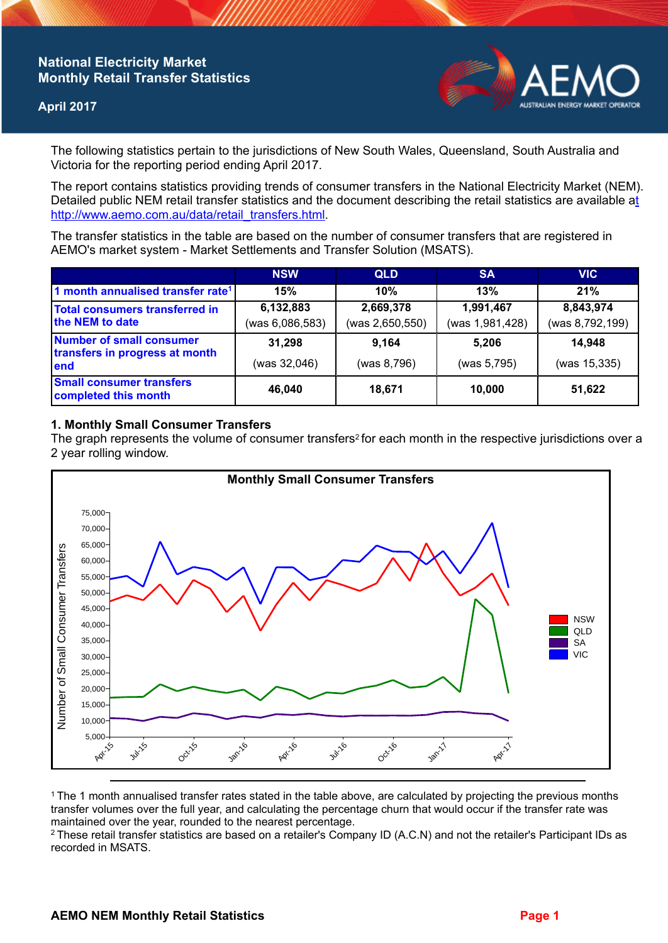## **National Electricity Market Monthly Retail Transfer Statistics**

### **April 2017**



The following statistics pertain to the jurisdictions of New South Wales, Queensland, South Australia and Victoria for the reporting period ending April 2017.

The report contains statistics providing trends of consumer transfers in the National Electricity Market (NEM). Detailed public NEM retail transfer statistics and the document describing the retail statistics are available a[t](http://www.aemo.com.au/data/retail_transfers.html)  http://www.aemo.com.au/data/retail\_transfers.html

The transfer statistics in the table are based on the number of consumer transfers that are registered in AEMO's market system - Market Settlements and Transfer Solution (MSATS).

|                                                                    | <b>NSW</b>      | <b>QLD</b>      | <b>SA</b>       | <b>VIC</b>      |
|--------------------------------------------------------------------|-----------------|-----------------|-----------------|-----------------|
| 1 month annualised transfer rate <sup>1</sup>                      | 15%             | 10%             | 13%             | 21%             |
| Total consumers transferred in<br>the NEM to date                  | 6,132,883       | 2,669,378       | 1,991,467       | 8,843,974       |
|                                                                    | (was 6,086,583) | (was 2,650,550) | (was 1,981,428) | (was 8,792,199) |
| Number of small consumer<br>transfers in progress at month<br>lend | 31,298          | 9,164           | 5.206           | 14.948          |
|                                                                    | (was 32,046)    | (was 8,796)     | (was 5,795)     | (was 15,335)    |
| <b>Small consumer transfers</b><br>completed this month            | 46,040          | 18,671          | 10,000          | 51,622          |

#### **1. Monthly Small Consumer Transfers**

The graph represents the volume of consumer transfers<sup>2</sup> for each month in the respective jurisdictions over a 2 year rolling window.



<sup>1</sup>The 1 month annualised transfer rates stated in the table above, are calculated by projecting the previous months transfer volumes over the full year, and calculating the percentage churn that would occur if the transfer rate was maintained over the year, rounded to the nearest percentage.

<sup>2</sup> These retail transfer statistics are based on a retailer's Company ID (A.C.N) and not the retailer's Participant IDs as recorded in MSATS.